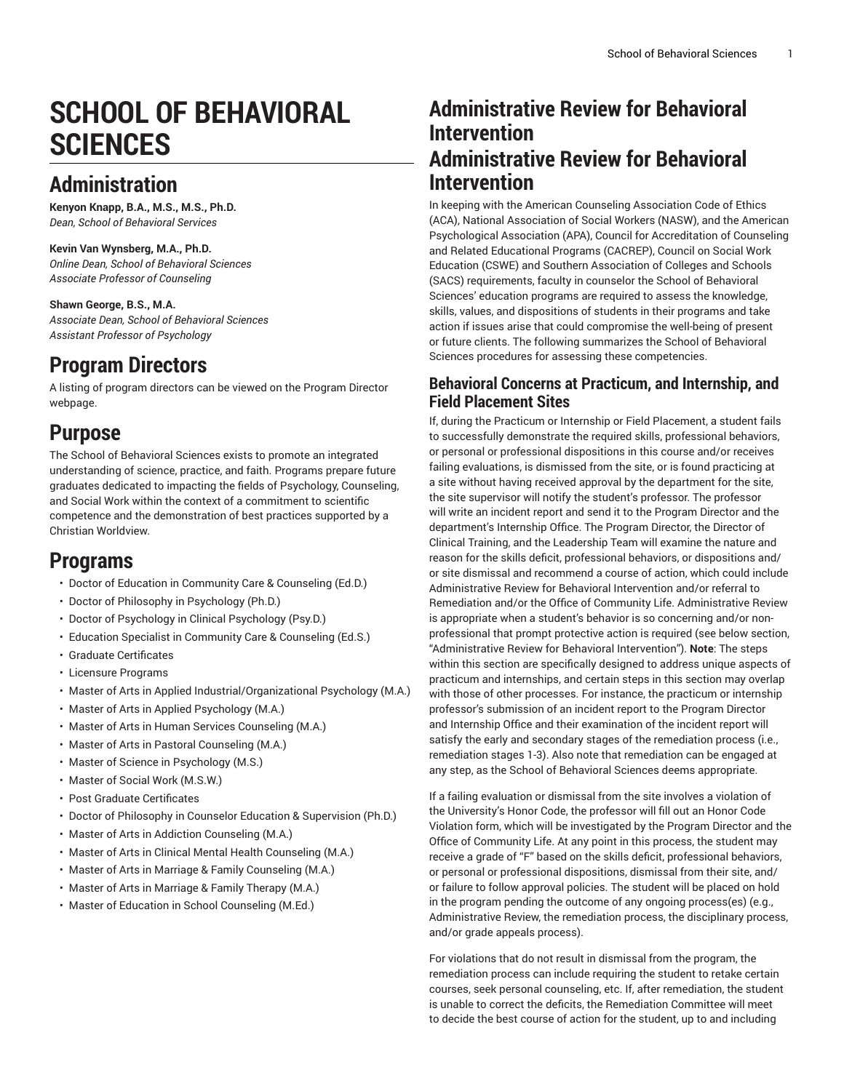# **SCHOOL OF BEHAVIORAL SCIENCES**

## **Administration**

**Kenyon Knapp, B.A., M.S., M.S., Ph.D.** *Dean, School of Behavioral Services*

#### **Kevin Van Wynsberg, M.A., Ph.D.**

*Online Dean, School of Behavioral Sciences Associate Professor of Counseling*

#### **Shawn George, B.S., M.A.**

*Associate Dean, School of Behavioral Sciences Assistant Professor of Psychology*

### **Program Directors**

A listing of program directors can be viewed on the [Program](https://www.liberty.edu/institutional-effectiveness/academic-program-directors/) Director webpage.

## **Purpose**

The School of Behavioral Sciences exists to promote an integrated understanding of science, practice, and faith. Programs prepare future graduates dedicated to impacting the fields of Psychology, Counseling, and Social Work within the context of a commitment to scientific competence and the demonstration of best practices supported by a Christian Worldview.

## **Programs**

- Doctor of Education in [Community](https://catalog.liberty.edu/graduate/colleges-schools/behavioral-sciences/education-community-care-counseling-edd/) Care & Counseling (Ed.D.)
- Doctor of Philosophy in [Psychology](https://catalog.liberty.edu/graduate/colleges-schools/behavioral-sciences/psychology-phd/) (Ph.D.)
- Doctor of Psychology in Clinical [Psychology](https://catalog.liberty.edu/graduate/colleges-schools/behavioral-sciences/clinical-psychology-psyd/) (Psy.D.)
- Education Specialist in [Community](https://catalog.liberty.edu/graduate/colleges-schools/behavioral-sciences/education-specialist-community-care-counseling-eds/) Care & Counseling (Ed.S.)
- Graduate [Certificates](https://catalog.liberty.edu/graduate/colleges-schools/behavioral-sciences/graduate-certificates/)
- Licensure [Programs](https://catalog.liberty.edu/graduate/colleges-schools/behavioral-sciences/licensure-programs/)
- Master of Arts in Applied [Industrial/Organizational](https://catalog.liberty.edu/graduate/colleges-schools/behavioral-sciences/applied-industrial-organizational-psychology-ma/) Psychology (M.A.)
- Master of Arts in Applied [Psychology](https://catalog.liberty.edu/graduate/colleges-schools/behavioral-sciences/applied-psychology-ma/) (M.A.)
- Master of Arts in Human Services [Counseling](https://catalog.liberty.edu/graduate/colleges-schools/behavioral-sciences/human-services-counseling-ma/) (M.A.)
- Master of Arts in Pastoral [Counseling](https://catalog.liberty.edu/graduate/colleges-schools/behavioral-sciences/pastoral-counseling-ma/) (M.A.)
- Master of Science in [Psychology](https://catalog.liberty.edu/graduate/colleges-schools/behavioral-sciences/psychology-ms/) (M.S.)
- Master of Social Work [\(M.S.W.\)](https://catalog.liberty.edu/graduate/colleges-schools/behavioral-sciences/social-work-msw/)
- Post Graduate [Certificates](https://catalog.liberty.edu/graduate/colleges-schools/behavioral-sciences/post-graduate-certificates/)
- Doctor of Philosophy in Counselor Education & [Supervision](https://catalog.liberty.edu/graduate/colleges-schools/behavioral-sciences/licensure-programs/counselor-education-supervision-phd/) (Ph.D.)
- Master of Arts in Addiction [Counseling](https://catalog.liberty.edu/graduate/colleges-schools/behavioral-sciences/licensure-programs/addiction-counseling-ma/) (M.A.)
- Master of Arts in Clinical Mental Health [Counseling](https://catalog.liberty.edu/graduate/colleges-schools/behavioral-sciences/licensure-programs/clinical-mental-health-counseling-ma/) (M.A.)
- Master of Arts in Marriage & Family [Counseling](https://catalog.liberty.edu/graduate/colleges-schools/behavioral-sciences/licensure-programs/marriage-family-counseling-ma/) (M.A.)
- Master of Arts in [Marriage](https://catalog.liberty.edu/graduate/colleges-schools/behavioral-sciences/licensure-programs/marriage-family-therapy-ma/) & Family Therapy (M.A.)
- Master of Education in School [Counseling](https://catalog.liberty.edu/graduate/colleges-schools/behavioral-sciences/licensure-programs/education-school-counseling-med/) (M.Ed.)

## **Administrative Review for Behavioral Intervention Administrative Review for Behavioral Intervention**

In keeping with the American Counseling Association Code of Ethics (ACA), National Association of Social Workers (NASW), and the American Psychological Association (APA), Council for Accreditation of Counseling and Related Educational Programs (CACREP), Council on Social Work Education (CSWE) and Southern Association of Colleges and Schools (SACS) requirements, faculty in counselor the School of Behavioral Sciences' education programs are required to assess the knowledge, skills, values, and dispositions of students in their programs and take action if issues arise that could compromise the well-being of present or future clients. The following summarizes the School of Behavioral Sciences procedures for assessing these competencies.

### **Behavioral Concerns at Practicum, and Internship, and Field Placement Sites**

If, during the Practicum or Internship or Field Placement, a student fails to successfully demonstrate the required skills, professional behaviors, or personal or professional dispositions in this course and/or receives failing evaluations, is dismissed from the site, or is found practicing at a site without having received approval by the department for the site, the site supervisor will notify the student's professor. The professor will write an incident report and send it to the Program Director and the department's Internship Office. The Program Director, the Director of Clinical Training, and the Leadership Team will examine the nature and reason for the skills deficit, professional behaviors, or dispositions and/ or site dismissal and recommend a course of action, which could include Administrative Review for Behavioral Intervention and/or referral to Remediation and/or the Office of Community Life. Administrative Review is appropriate when a student's behavior is so concerning and/or nonprofessional that prompt protective action is required (see below section, "Administrative Review for Behavioral Intervention"). **Note**: The steps within this section are specifically designed to address unique aspects of practicum and internships, and certain steps in this section may overlap with those of other processes. For instance, the practicum or internship professor's submission of an incident report to the Program Director and Internship Office and their examination of the incident report will satisfy the early and secondary stages of the remediation process (i.e., remediation stages 1-3). Also note that remediation can be engaged at any step, as the School of Behavioral Sciences deems appropriate.

If a failing evaluation or dismissal from the site involves a violation of the University's Honor Code, the professor will fill out an Honor Code Violation form, which will be investigated by the Program Director and the Office of Community Life. At any point in this process, the student may receive a grade of "F" based on the skills deficit, professional behaviors, or personal or professional dispositions, dismissal from their site, and/ or failure to follow approval policies. The student will be placed on hold in the program pending the outcome of any ongoing process(es) (e.g., Administrative Review, the remediation process, the disciplinary process, and/or grade appeals process).

For violations that do not result in dismissal from the program, the remediation process can include requiring the student to retake certain courses, seek personal counseling, etc. If, after remediation, the student is unable to correct the deficits, the Remediation Committee will meet to decide the best course of action for the student, up to and including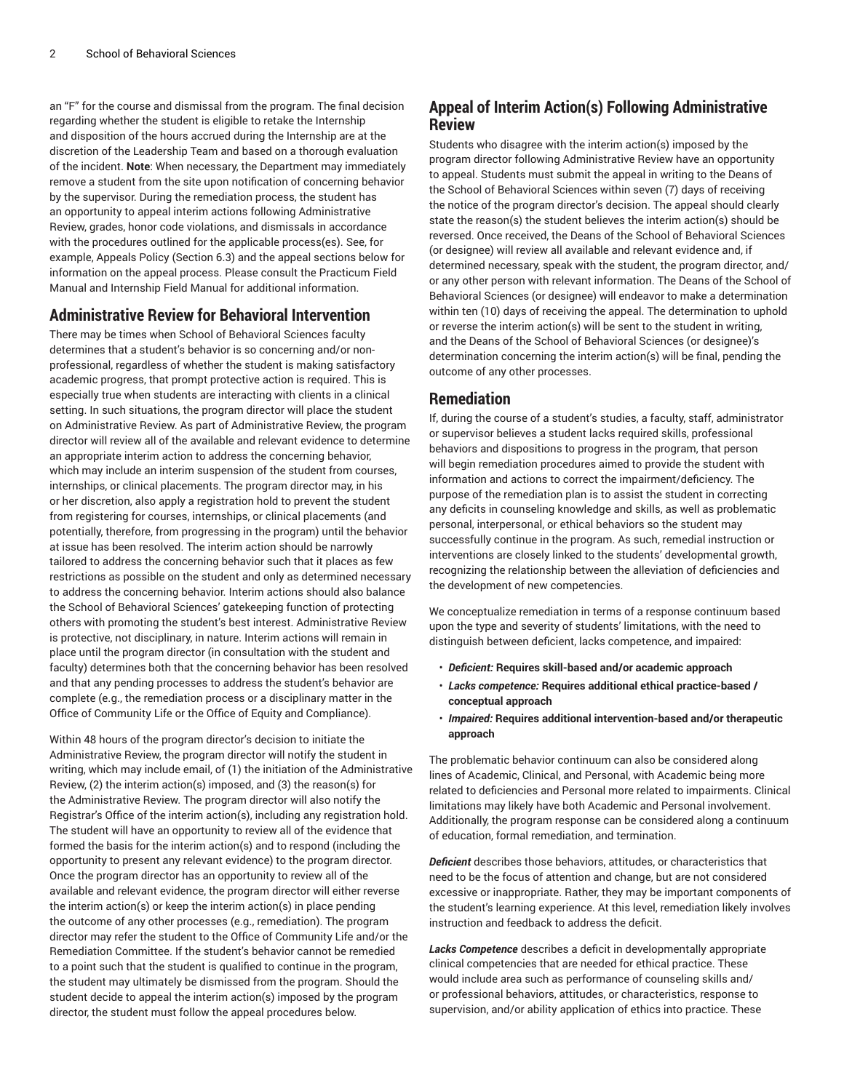an "F" for the course and dismissal from the program. The final decision regarding whether the student is eligible to retake the Internship and disposition of the hours accrued during the Internship are at the discretion of the Leadership Team and based on a thorough evaluation of the incident. **Note**: When necessary, the Department may immediately remove a student from the site upon notification of concerning behavior by the supervisor. During the remediation process, the student has an opportunity to appeal interim actions following Administrative Review, grades, honor code violations, and dismissals in accordance with the procedures outlined for the applicable process(es). See, for example, Appeals Policy (Section 6.3) and the appeal sections below for information on the appeal process. Please consult the Practicum Field Manual and Internship Field Manual for additional information.

### **Administrative Review for Behavioral Intervention**

There may be times when School of Behavioral Sciences faculty determines that a student's behavior is so concerning and/or nonprofessional, regardless of whether the student is making satisfactory academic progress, that prompt protective action is required. This is especially true when students are interacting with clients in a clinical setting. In such situations, the program director will place the student on Administrative Review. As part of Administrative Review, the program director will review all of the available and relevant evidence to determine an appropriate interim action to address the concerning behavior, which may include an interim suspension of the student from courses, internships, or clinical placements. The program director may, in his or her discretion, also apply a registration hold to prevent the student from registering for courses, internships, or clinical placements (and potentially, therefore, from progressing in the program) until the behavior at issue has been resolved. The interim action should be narrowly tailored to address the concerning behavior such that it places as few restrictions as possible on the student and only as determined necessary to address the concerning behavior. Interim actions should also balance the School of Behavioral Sciences' gatekeeping function of protecting others with promoting the student's best interest. Administrative Review is protective, not disciplinary, in nature. Interim actions will remain in place until the program director (in consultation with the student and faculty) determines both that the concerning behavior has been resolved and that any pending processes to address the student's behavior are complete (e.g., the remediation process or a disciplinary matter in the Office of Community Life or the Office of Equity and Compliance).

Within 48 hours of the program director's decision to initiate the Administrative Review, the program director will notify the student in writing, which may include email, of (1) the initiation of the Administrative Review, (2) the interim action(s) imposed, and (3) the reason(s) for the Administrative Review. The program director will also notify the Registrar's Office of the interim action(s), including any registration hold. The student will have an opportunity to review all of the evidence that formed the basis for the interim action(s) and to respond (including the opportunity to present any relevant evidence) to the program director. Once the program director has an opportunity to review all of the available and relevant evidence, the program director will either reverse the interim action(s) or keep the interim action(s) in place pending the outcome of any other processes (e.g., remediation). The program director may refer the student to the Office of Community Life and/or the Remediation Committee. If the student's behavior cannot be remedied to a point such that the student is qualified to continue in the program, the student may ultimately be dismissed from the program. Should the student decide to appeal the interim action(s) imposed by the program director, the student must follow the appeal procedures below.

### **Appeal of Interim Action(s) Following Administrative Review**

Students who disagree with the interim action(s) imposed by the program director following Administrative Review have an opportunity to appeal. Students must submit the appeal in writing to the Deans of the School of Behavioral Sciences within seven (7) days of receiving the notice of the program director's decision. The appeal should clearly state the reason(s) the student believes the interim action(s) should be reversed. Once received, the Deans of the School of Behavioral Sciences (or designee) will review all available and relevant evidence and, if determined necessary, speak with the student, the program director, and/ or any other person with relevant information. The Deans of the School of Behavioral Sciences (or designee) will endeavor to make a determination within ten (10) days of receiving the appeal. The determination to uphold or reverse the interim action(s) will be sent to the student in writing, and the Deans of the School of Behavioral Sciences (or designee)'s determination concerning the interim action(s) will be final, pending the outcome of any other processes.

#### **Remediation**

If, during the course of a student's studies, a faculty, staff, administrator or supervisor believes a student lacks required skills, professional behaviors and dispositions to progress in the program, that person will begin remediation procedures aimed to provide the student with information and actions to correct the impairment/deficiency. The purpose of the remediation plan is to assist the student in correcting any deficits in counseling knowledge and skills, as well as problematic personal, interpersonal, or ethical behaviors so the student may successfully continue in the program. As such, remedial instruction or interventions are closely linked to the students' developmental growth, recognizing the relationship between the alleviation of deficiencies and the development of new competencies.

We conceptualize remediation in terms of a response continuum based upon the type and severity of students' limitations, with the need to distinguish between deficient, lacks competence, and impaired:

- *Deficient:* **Requires skill-based and/or academic approach**
- *Lacks competence:* **Requires additional ethical practice-based / conceptual approach**
- *Impaired:* **Requires additional intervention-based and/or therapeutic approach**

The problematic behavior continuum can also be considered along lines of Academic, Clinical, and Personal, with Academic being more related to deficiencies and Personal more related to impairments. Clinical limitations may likely have both Academic and Personal involvement. Additionally, the program response can be considered along a continuum of education, formal remediation, and termination.

*Deficient* describes those behaviors, attitudes, or characteristics that need to be the focus of attention and change, but are not considered excessive or inappropriate. Rather, they may be important components of the student's learning experience. At this level, remediation likely involves instruction and feedback to address the deficit.

*Lacks Competence* describes a deficit in developmentally appropriate clinical competencies that are needed for ethical practice. These would include area such as performance of counseling skills and/ or professional behaviors, attitudes, or characteristics, response to supervision, and/or ability application of ethics into practice. These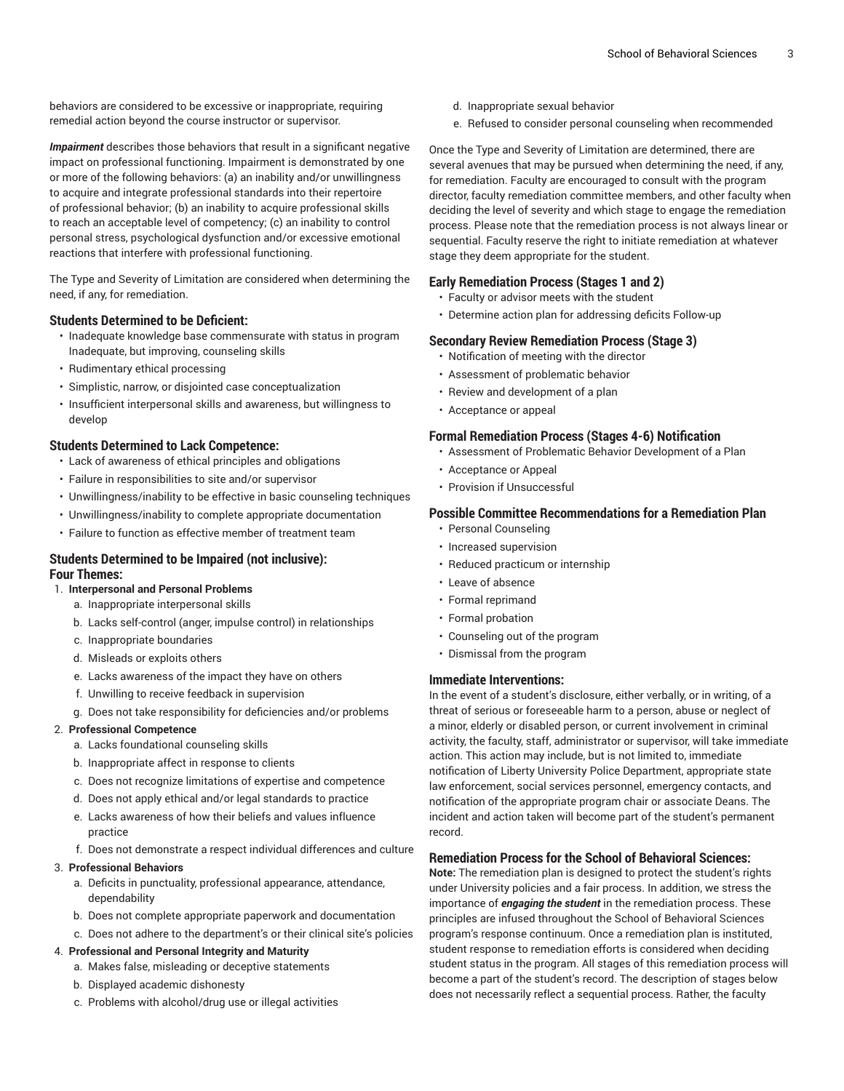behaviors are considered to be excessive or inappropriate, requiring remedial action beyond the course instructor or supervisor.

*Impairment* describes those behaviors that result in a significant negative impact on professional functioning. Impairment is demonstrated by one or more of the following behaviors: (a) an inability and/or unwillingness to acquire and integrate professional standards into their repertoire of professional behavior; (b) an inability to acquire professional skills to reach an acceptable level of competency; (c) an inability to control personal stress, psychological dysfunction and/or excessive emotional reactions that interfere with professional functioning.

The Type and Severity of Limitation are considered when determining the need, if any, for remediation.

#### **Students Determined to be Deficient:**

- Inadequate knowledge base commensurate with status in program Inadequate, but improving, counseling skills
- Rudimentary ethical processing
- Simplistic, narrow, or disjointed case conceptualization
- Insufficient interpersonal skills and awareness, but willingness to develop

#### **Students Determined to Lack Competence:**

- Lack of awareness of ethical principles and obligations
- Failure in responsibilities to site and/or supervisor
- Unwillingness/inability to be effective in basic counseling techniques
- Unwillingness/inability to complete appropriate documentation
- Failure to function as effective member of treatment team

#### **Students Determined to be Impaired (not inclusive): Four Themes:**

- 1. **Interpersonal and Personal Problems**
	- a. Inappropriate interpersonal skills
	- b. Lacks self-control (anger, impulse control) in relationships
	- c. Inappropriate boundaries
	- d. Misleads or exploits others
	- e. Lacks awareness of the impact they have on others
	- f. Unwilling to receive feedback in supervision
	- g. Does not take responsibility for deficiencies and/or problems

#### 2. **Professional Competence**

- a. Lacks foundational counseling skills
- b. Inappropriate affect in response to clients
- c. Does not recognize limitations of expertise and competence
- d. Does not apply ethical and/or legal standards to practice
- e. Lacks awareness of how their beliefs and values influence practice
- f. Does not demonstrate a respect individual differences and culture

#### 3. **Professional Behaviors**

- a. Deficits in punctuality, professional appearance, attendance, dependability
- b. Does not complete appropriate paperwork and documentation
- c. Does not adhere to the department's or their clinical site's policies

#### 4. **Professional and Personal Integrity and Maturity**

- a. Makes false, misleading or deceptive statements
- b. Displayed academic dishonesty
- c. Problems with alcohol/drug use or illegal activities
- d. Inappropriate sexual behavior
- e. Refused to consider personal counseling when recommended

Once the Type and Severity of Limitation are determined, there are several avenues that may be pursued when determining the need, if any, for remediation. Faculty are encouraged to consult with the program director, faculty remediation committee members, and other faculty when deciding the level of severity and which stage to engage the remediation process. Please note that the remediation process is not always linear or sequential. Faculty reserve the right to initiate remediation at whatever stage they deem appropriate for the student.

#### **Early Remediation Process (Stages 1 and 2)**

- Faculty or advisor meets with the student
- Determine action plan for addressing deficits Follow-up

#### **Secondary Review Remediation Process (Stage 3)**

- Notification of meeting with the director
- Assessment of problematic behavior
- Review and development of a plan
- Acceptance or appeal

#### **Formal Remediation Process (Stages 4-6) Notification**

- Assessment of Problematic Behavior Development of a Plan
- Acceptance or Appeal
- Provision if Unsuccessful

#### **Possible Committee Recommendations for a Remediation Plan**

- Personal Counseling
- Increased supervision
- Reduced practicum or internship
- Leave of absence
- Formal reprimand
- Formal probation
- Counseling out of the program
- Dismissal from the program

#### **Immediate Interventions:**

In the event of a student's disclosure, either verbally, or in writing, of a threat of serious or foreseeable harm to a person, abuse or neglect of a minor, elderly or disabled person, or current involvement in criminal activity, the faculty, staff, administrator or supervisor, will take immediate action. This action may include, but is not limited to, immediate notification of Liberty University Police Department, appropriate state law enforcement, social services personnel, emergency contacts, and notification of the appropriate program chair or associate Deans. The incident and action taken will become part of the student's permanent record.

#### **Remediation Process for the School of Behavioral Sciences:**

**Note:** The remediation plan is designed to protect the student's rights under University policies and a fair process. In addition, we stress the importance of *engaging the student* in the remediation process. These principles are infused throughout the School of Behavioral Sciences program's response continuum. Once a remediation plan is instituted, student response to remediation efforts is considered when deciding student status in the program. All stages of this remediation process will become a part of the student's record. The description of stages below does not necessarily reflect a sequential process. Rather, the faculty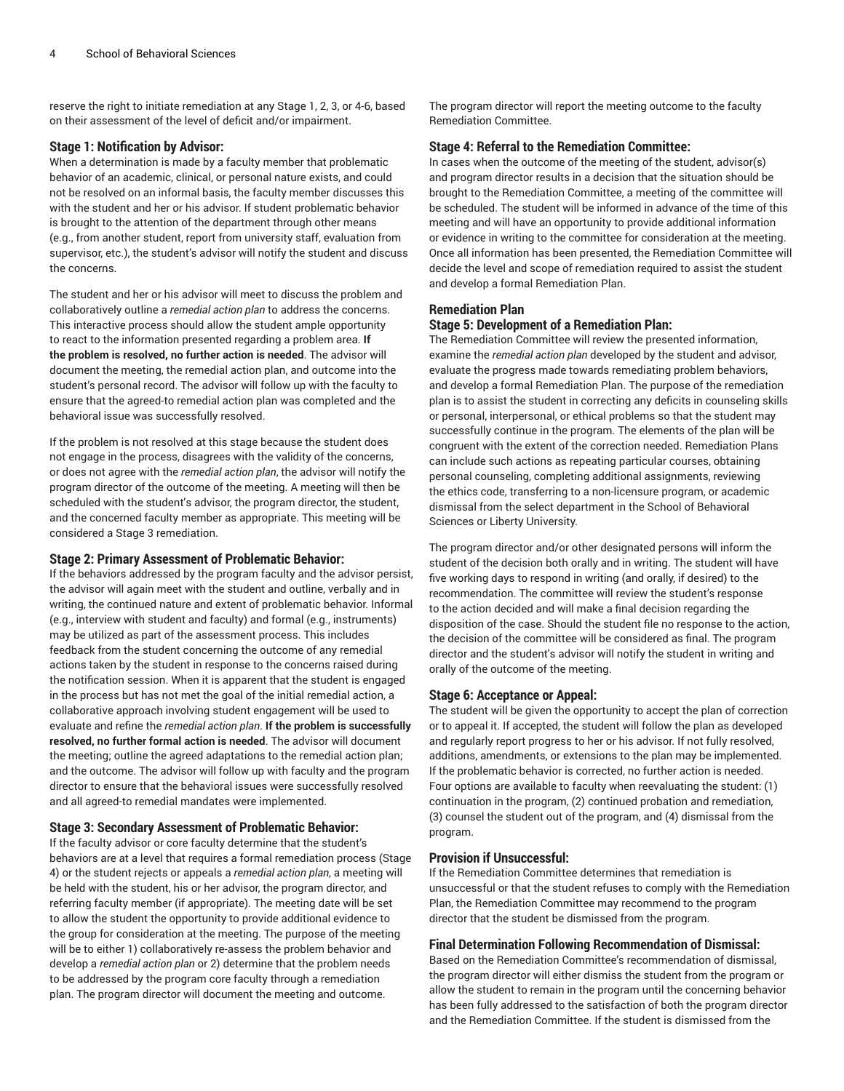reserve the right to initiate remediation at any Stage 1, 2, 3, or 4-6, based on their assessment of the level of deficit and/or impairment.

#### **Stage 1: Notification by Advisor:**

When a determination is made by a faculty member that problematic behavior of an academic, clinical, or personal nature exists, and could not be resolved on an informal basis, the faculty member discusses this with the student and her or his advisor. If student problematic behavior is brought to the attention of the department through other means (e.g., from another student, report from university staff, evaluation from supervisor, etc.), the student's advisor will notify the student and discuss the concerns.

The student and her or his advisor will meet to discuss the problem and collaboratively outline a *remedial action plan* to address the concerns. This interactive process should allow the student ample opportunity to react to the information presented regarding a problem area. **If the problem is resolved, no further action is needed**. The advisor will document the meeting, the remedial action plan, and outcome into the student's personal record. The advisor will follow up with the faculty to ensure that the agreed-to remedial action plan was completed and the behavioral issue was successfully resolved.

If the problem is not resolved at this stage because the student does not engage in the process, disagrees with the validity of the concerns, or does not agree with the *remedial action plan*, the advisor will notify the program director of the outcome of the meeting. A meeting will then be scheduled with the student's advisor, the program director, the student, and the concerned faculty member as appropriate. This meeting will be considered a Stage 3 remediation.

#### **Stage 2: Primary Assessment of Problematic Behavior:**

If the behaviors addressed by the program faculty and the advisor persist, the advisor will again meet with the student and outline, verbally and in writing, the continued nature and extent of problematic behavior. Informal (e.g., interview with student and faculty) and formal (e.g., instruments) may be utilized as part of the assessment process. This includes feedback from the student concerning the outcome of any remedial actions taken by the student in response to the concerns raised during the notification session. When it is apparent that the student is engaged in the process but has not met the goal of the initial remedial action, a collaborative approach involving student engagement will be used to evaluate and refine the *remedial action plan*. **If the problem is successfully resolved, no further formal action is needed**. The advisor will document the meeting; outline the agreed adaptations to the remedial action plan; and the outcome. The advisor will follow up with faculty and the program director to ensure that the behavioral issues were successfully resolved and all agreed-to remedial mandates were implemented.

#### **Stage 3: Secondary Assessment of Problematic Behavior:**

If the faculty advisor or core faculty determine that the student's behaviors are at a level that requires a formal remediation process (Stage 4) or the student rejects or appeals a *remedial action plan*, a meeting will be held with the student, his or her advisor, the program director, and referring faculty member (if appropriate). The meeting date will be set to allow the student the opportunity to provide additional evidence to the group for consideration at the meeting. The purpose of the meeting will be to either 1) collaboratively re-assess the problem behavior and develop a *remedial action plan* or 2) determine that the problem needs to be addressed by the program core faculty through a remediation plan. The program director will document the meeting and outcome.

The program director will report the meeting outcome to the faculty Remediation Committee.

#### **Stage 4: Referral to the Remediation Committee:**

In cases when the outcome of the meeting of the student, advisor(s) and program director results in a decision that the situation should be brought to the Remediation Committee, a meeting of the committee will be scheduled. The student will be informed in advance of the time of this meeting and will have an opportunity to provide additional information or evidence in writing to the committee for consideration at the meeting. Once all information has been presented, the Remediation Committee will decide the level and scope of remediation required to assist the student and develop a formal Remediation Plan.

#### **Remediation Plan**

#### **Stage 5: Development of a Remediation Plan:**

The Remediation Committee will review the presented information, examine the *remedial action plan* developed by the student and advisor, evaluate the progress made towards remediating problem behaviors, and develop a formal Remediation Plan. The purpose of the remediation plan is to assist the student in correcting any deficits in counseling skills or personal, interpersonal, or ethical problems so that the student may successfully continue in the program. The elements of the plan will be congruent with the extent of the correction needed. Remediation Plans can include such actions as repeating particular courses, obtaining personal counseling, completing additional assignments, reviewing the ethics code, transferring to a non-licensure program, or academic dismissal from the select department in the School of Behavioral Sciences or Liberty University.

The program director and/or other designated persons will inform the student of the decision both orally and in writing. The student will have five working days to respond in writing (and orally, if desired) to the recommendation. The committee will review the student's response to the action decided and will make a final decision regarding the disposition of the case. Should the student file no response to the action, the decision of the committee will be considered as final. The program director and the student's advisor will notify the student in writing and orally of the outcome of the meeting.

#### **Stage 6: Acceptance or Appeal:**

The student will be given the opportunity to accept the plan of correction or to appeal it. If accepted, the student will follow the plan as developed and regularly report progress to her or his advisor. If not fully resolved, additions, amendments, or extensions to the plan may be implemented. If the problematic behavior is corrected, no further action is needed. Four options are available to faculty when reevaluating the student: (1) continuation in the program, (2) continued probation and remediation, (3) counsel the student out of the program, and (4) dismissal from the program.

#### **Provision if Unsuccessful:**

If the Remediation Committee determines that remediation is unsuccessful or that the student refuses to comply with the Remediation Plan, the Remediation Committee may recommend to the program director that the student be dismissed from the program.

#### **Final Determination Following Recommendation of Dismissal:**

Based on the Remediation Committee's recommendation of dismissal, the program director will either dismiss the student from the program or allow the student to remain in the program until the concerning behavior has been fully addressed to the satisfaction of both the program director and the Remediation Committee. If the student is dismissed from the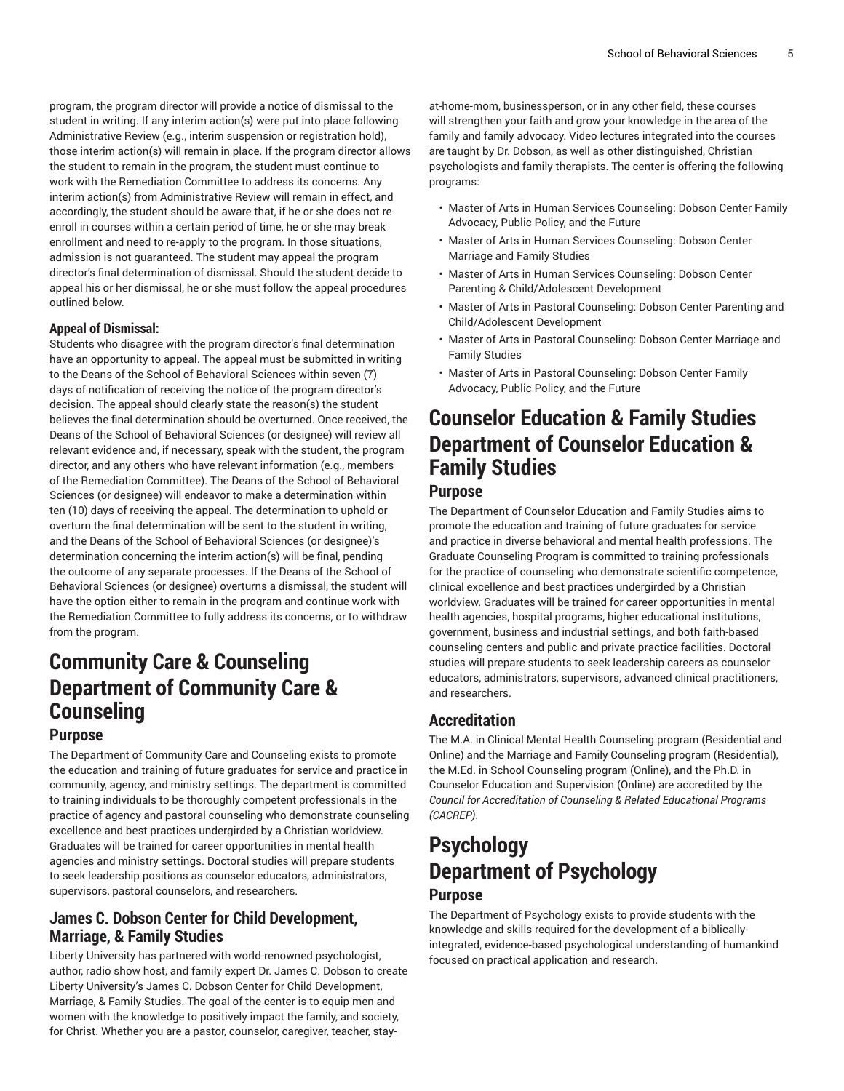program, the program director will provide a notice of dismissal to the student in writing. If any interim action(s) were put into place following Administrative Review (e.g., interim suspension or registration hold), those interim action(s) will remain in place. If the program director allows the student to remain in the program, the student must continue to work with the Remediation Committee to address its concerns. Any interim action(s) from Administrative Review will remain in effect, and accordingly, the student should be aware that, if he or she does not reenroll in courses within a certain period of time, he or she may break enrollment and need to re-apply to the program. In those situations, admission is not guaranteed. The student may appeal the program director's final determination of dismissal. Should the student decide to appeal his or her dismissal, he or she must follow the appeal procedures outlined below.

#### **Appeal of Dismissal:**

Students who disagree with the program director's final determination have an opportunity to appeal. The appeal must be submitted in writing to the Deans of the School of Behavioral Sciences within seven (7) days of notification of receiving the notice of the program director's decision. The appeal should clearly state the reason(s) the student believes the final determination should be overturned. Once received, the Deans of the School of Behavioral Sciences (or designee) will review all relevant evidence and, if necessary, speak with the student, the program director, and any others who have relevant information (e.g., members of the Remediation Committee). The Deans of the School of Behavioral Sciences (or designee) will endeavor to make a determination within ten (10) days of receiving the appeal. The determination to uphold or overturn the final determination will be sent to the student in writing, and the Deans of the School of Behavioral Sciences (or designee)'s determination concerning the interim action(s) will be final, pending the outcome of any separate processes. If the Deans of the School of Behavioral Sciences (or designee) overturns a dismissal, the student will have the option either to remain in the program and continue work with the Remediation Committee to fully address its concerns, or to withdraw from the program.

## **Community Care & Counseling Department of Community Care & Counseling**

### **Purpose**

The [Department](https://www.liberty.edu/behavioral-sciences/community-care-counseling/) of Community Care and Counseling exists to promote the education and training of future graduates for service and practice in community, agency, and ministry settings. The department is committed to training individuals to be thoroughly competent professionals in the practice of agency and pastoral counseling who demonstrate counseling excellence and best practices undergirded by a Christian worldview. Graduates will be trained for career opportunities in mental health agencies and ministry settings. Doctoral studies will prepare students to seek leadership positions as counselor educators, administrators, supervisors, pastoral counselors, and researchers.

### **James C. Dobson Center for Child Development, Marriage, & Family Studies**

Liberty University has partnered with world-renowned psychologist, author, radio show host, and family expert Dr. James C. Dobson to create Liberty University's James C. Dobson Center for Child [Development,](https://www.liberty.edu/online/james-dobson-center/) [Marriage,](https://www.liberty.edu/online/james-dobson-center/) & Family Studies. The goal of the center is to equip men and women with the knowledge to positively impact the family, and society, for Christ. Whether you are a pastor, counselor, caregiver, teacher, stay-

at-home-mom, businessperson, or in any other field, these courses will strengthen your faith and grow your knowledge in the area of the family and family advocacy. Video lectures integrated into the courses are taught by Dr. Dobson, as well as other distinguished, Christian psychologists and family therapists. The center is offering the following programs:

- Master of Arts in Human Services Counseling: Dobson Center Family Advocacy, Public Policy, and the Future
- Master of Arts in Human Services Counseling: Dobson Center Marriage and Family Studies
- Master of Arts in Human Services Counseling: Dobson Center Parenting & Child/Adolescent Development
- Master of Arts in Pastoral Counseling: Dobson Center Parenting and Child/Adolescent Development
- Master of Arts in Pastoral Counseling: Dobson Center Marriage and Family Studies
- Master of Arts in Pastoral Counseling: Dobson Center Family Advocacy, Public Policy, and the Future

## **Counselor Education & Family Studies Department of Counselor Education & Family Studies**

### **Purpose**

The [Department](https://www.liberty.edu/behavioral-sciences/counselor-ed/) of Counselor Education and Family Studies aims to promote the education and training of future graduates for service and practice in diverse behavioral and mental health professions. The Graduate Counseling Program is committed to training professionals for the practice of counseling who demonstrate scientific competence, clinical excellence and best practices undergirded by a Christian worldview. Graduates will be trained for career opportunities in mental health agencies, hospital programs, higher educational institutions, government, business and industrial settings, and both faith-based counseling centers and public and private practice facilities. Doctoral studies will prepare students to seek leadership careers as counselor educators, administrators, supervisors, advanced clinical practitioners, and researchers.

### **Accreditation**

The M.A. in Clinical Mental Health Counseling program (Residential and Online) and the Marriage and Family Counseling program (Residential), the M.Ed. in School Counseling program (Online), and the Ph.D. in Counselor Education and Supervision (Online) are accredited by the *Council for Accreditation of Counseling & Related Educational Programs (CACREP)*.

## **Psychology Department of Psychology**

### **Purpose**

The [Department](https://www.liberty.edu/behavioral-sciences/psychology/) of Psychology exists to provide students with the knowledge and skills required for the development of a biblicallyintegrated, evidence-based psychological understanding of humankind focused on practical application and research.